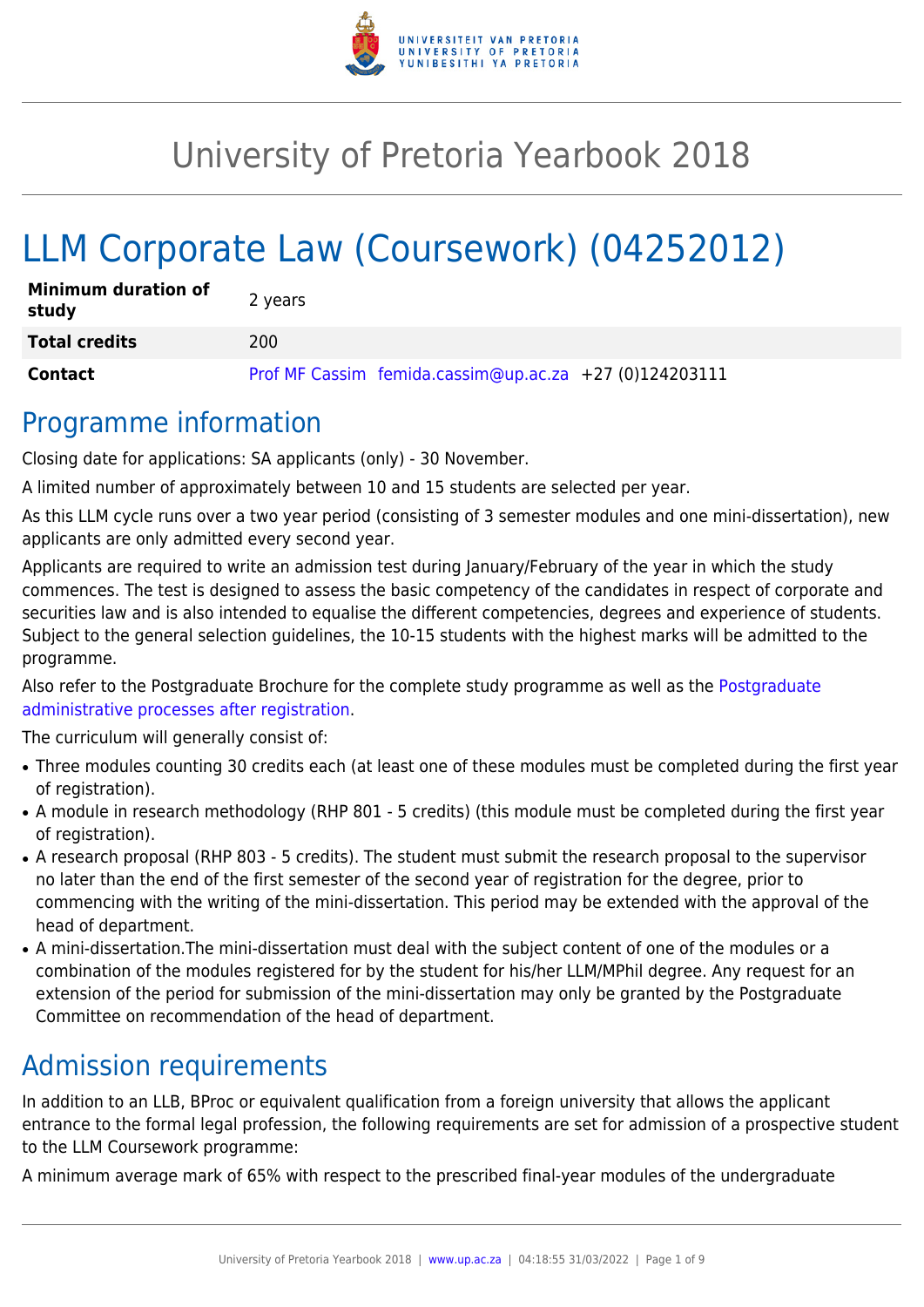

# University of Pretoria Yearbook 2018

# LLM Corporate Law (Coursework) (04252012)

| <b>Minimum duration of</b><br>study | 2 years                                                |
|-------------------------------------|--------------------------------------------------------|
| <b>Total credits</b>                | 200                                                    |
| Contact                             | Prof MF Cassim femida.cassim@up.ac.za +27 (0)124203111 |

# Programme information

Closing date for applications: SA applicants (only) - 30 November.

A limited number of approximately between 10 and 15 students are selected per year.

As this LLM cycle runs over a two year period (consisting of 3 semester modules and one mini-dissertation), new applicants are only admitted every second year.

Applicants are required to write an admission test during January/February of the year in which the study commences. The test is designed to assess the basic competency of the candidates in respect of corporate and securities law and is also intended to equalise the different competencies, degrees and experience of students. Subject to the general selection guidelines, the 10-15 students with the highest marks will be admitted to the programme.

Also refer to the [Postgraduate](http://www.up.ac.za/media/shared/10/ZP_Files/post-graduate-administrative-processes-brochures-for-the-faculty-web.zp124870.pdf) Brochure for the complete study programme as well as the Postgraduate [administrative processes after registration.](http://www.up.ac.za/media/shared/10/ZP_Files/post-graduate-administrative-processes-brochures-for-the-faculty-web.zp124870.pdf)

The curriculum will generally consist of:

- Three modules counting 30 credits each (at least one of these modules must be completed during the first year of registration).
- A module in research methodology (RHP 801 5 credits) (this module must be completed during the first year of registration).
- A research proposal (RHP 803 5 credits). The student must submit the research proposal to the supervisor no later than the end of the first semester of the second year of registration for the degree, prior to commencing with the writing of the mini-dissertation. This period may be extended with the approval of the head of department.
- A mini-dissertation. The mini-dissertation must deal with the subject content of one of the modules or a combination of the modules registered for by the student for his/her LLM/MPhil degree. Any request for an extension of the period for submission of the mini-dissertation may only be granted by the Postgraduate Committee on recommendation of the head of department.

# Admission requirements

In addition to an LLB, BProc or equivalent qualification from a foreign university that allows the applicant entrance to the formal legal profession, the following requirements are set for admission of a prospective student to the LLM Coursework programme:

A minimum average mark of 65% with respect to the prescribed final-year modules of the undergraduate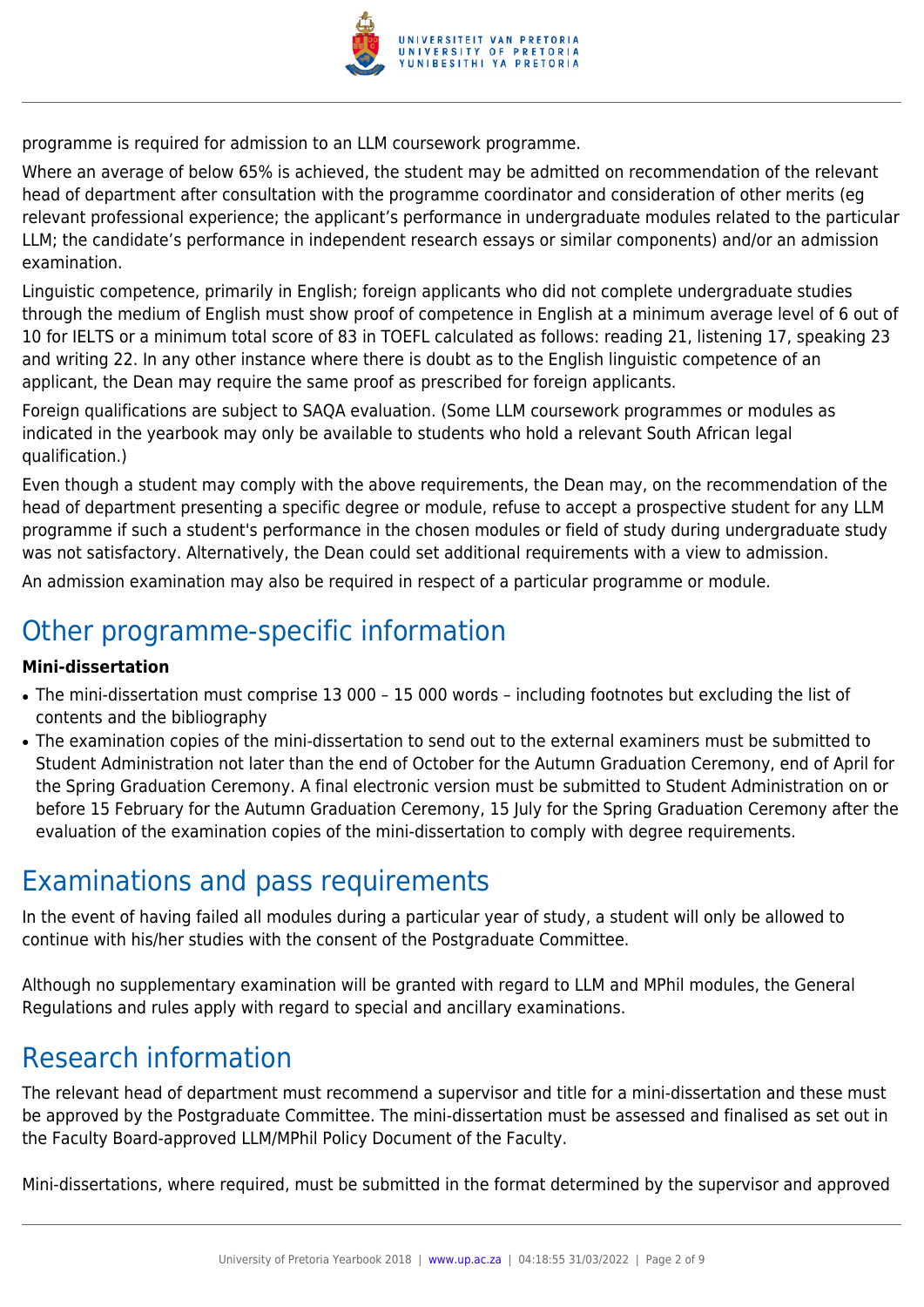

programme is required for admission to an LLM coursework programme.

Where an average of below 65% is achieved, the student may be admitted on recommendation of the relevant head of department after consultation with the programme coordinator and consideration of other merits (eg relevant professional experience; the applicant's performance in undergraduate modules related to the particular LLM; the candidate's performance in independent research essays or similar components) and/or an admission examination.

Linguistic competence, primarily in English; foreign applicants who did not complete undergraduate studies through the medium of English must show proof of competence in English at a minimum average level of 6 out of 10 for IELTS or a minimum total score of 83 in TOEFL calculated as follows: reading 21, listening 17, speaking 23 and writing 22. In any other instance where there is doubt as to the English linguistic competence of an applicant, the Dean may require the same proof as prescribed for foreign applicants.

Foreign qualifications are subject to SAQA evaluation. (Some LLM coursework programmes or modules as indicated in the yearbook may only be available to students who hold a relevant South African legal qualification.)

Even though a student may comply with the above requirements, the Dean may, on the recommendation of the head of department presenting a specific degree or module, refuse to accept a prospective student for any LLM programme if such a student's performance in the chosen modules or field of study during undergraduate study was not satisfactory. Alternatively, the Dean could set additional requirements with a view to admission.

An admission examination may also be required in respect of a particular programme or module.

# Other programme-specific information

## **Mini-dissertation**

- The mini-dissertation must comprise 13 000 15 000 words including footnotes but excluding the list of contents and the bibliography
- The examination copies of the mini-dissertation to send out to the external examiners must be submitted to Student Administration not later than the end of October for the Autumn Graduation Ceremony, end of April for the Spring Graduation Ceremony. A final electronic version must be submitted to Student Administration on or before 15 February for the Autumn Graduation Ceremony, 15 July for the Spring Graduation Ceremony after the evaluation of the examination copies of the mini-dissertation to comply with degree requirements.

# Examinations and pass requirements

In the event of having failed all modules during a particular year of study, a student will only be allowed to continue with his/her studies with the consent of the Postgraduate Committee.

Although no supplementary examination will be granted with regard to LLM and MPhil modules, the General Regulations and rules apply with regard to special and ancillary examinations.

# Research information

The relevant head of department must recommend a supervisor and title for a mini-dissertation and these must be approved by the Postgraduate Committee. The mini-dissertation must be assessed and finalised as set out in the Faculty Board-approved LLM/MPhil Policy Document of the Faculty.

Mini-dissertations, where required, must be submitted in the format determined by the supervisor and approved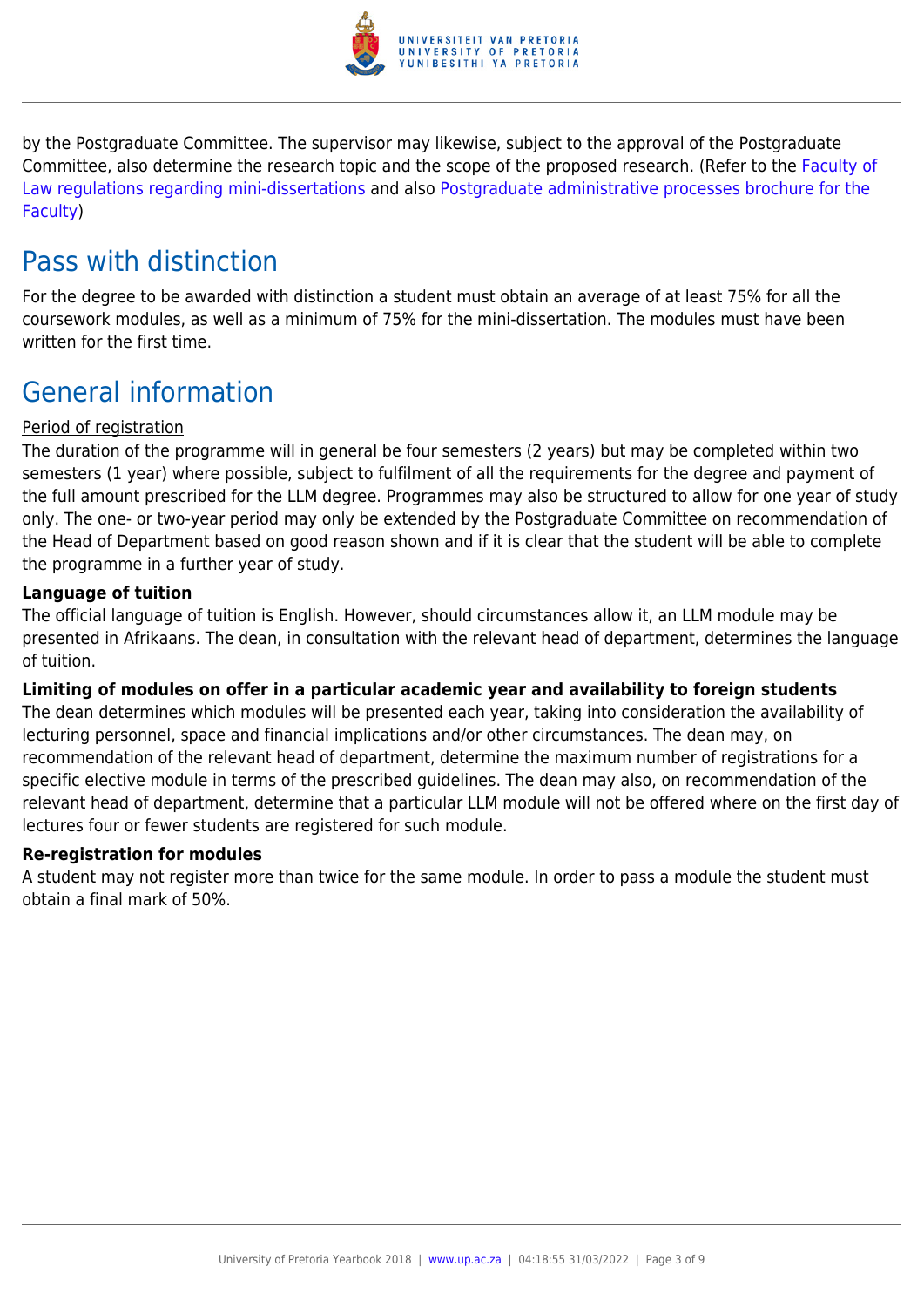

by the Postgraduate Committee. The supervisor may likewise, subject to the approval of the Postgraduate Committee, also determine the research topic and the scope of the proposed research. (Refer to the [Faculty of](http://www.up.ac.za/media/shared/10/ZP_Files/faculty-regulations-for-the-mini-dissertation.zp124872.pdf) [Law regulations regarding mini-dissertations](http://www.up.ac.za/media/shared/10/ZP_Files/faculty-regulations-for-the-mini-dissertation.zp124872.pdf) and also [Postgraduate administrative processes brochure for the](http://www.up.ac.za/media/shared/10/ZP_Files/post-graduate-administrative-processes-brochures-for-the-faculty-web.zp124870.pdf) [Faculty](http://www.up.ac.za/media/shared/10/ZP_Files/post-graduate-administrative-processes-brochures-for-the-faculty-web.zp124870.pdf))

# Pass with distinction

For the degree to be awarded with distinction a student must obtain an average of at least 75% for all the coursework modules, as well as a minimum of 75% for the mini-dissertation. The modules must have been written for the first time.

# General information

## Period of registration

The duration of the programme will in general be four semesters (2 years) but may be completed within two semesters (1 year) where possible, subject to fulfilment of all the requirements for the degree and payment of the full amount prescribed for the LLM degree. Programmes may also be structured to allow for one year of study only. The one- or two-year period may only be extended by the Postgraduate Committee on recommendation of the Head of Department based on good reason shown and if it is clear that the student will be able to complete the programme in a further year of study.

## **Language of tuition**

The official language of tuition is English. However, should circumstances allow it, an LLM module may be presented in Afrikaans. The dean, in consultation with the relevant head of department, determines the language of tuition.

## **Limiting of modules on offer in a particular academic year and availability to foreign students**

The dean determines which modules will be presented each year, taking into consideration the availability of lecturing personnel, space and financial implications and/or other circumstances. The dean may, on recommendation of the relevant head of department, determine the maximum number of registrations for a specific elective module in terms of the prescribed guidelines. The dean may also, on recommendation of the relevant head of department, determine that a particular LLM module will not be offered where on the first day of lectures four or fewer students are registered for such module.

## **Re-registration for modules**

A student may not register more than twice for the same module. In order to pass a module the student must obtain a final mark of 50%.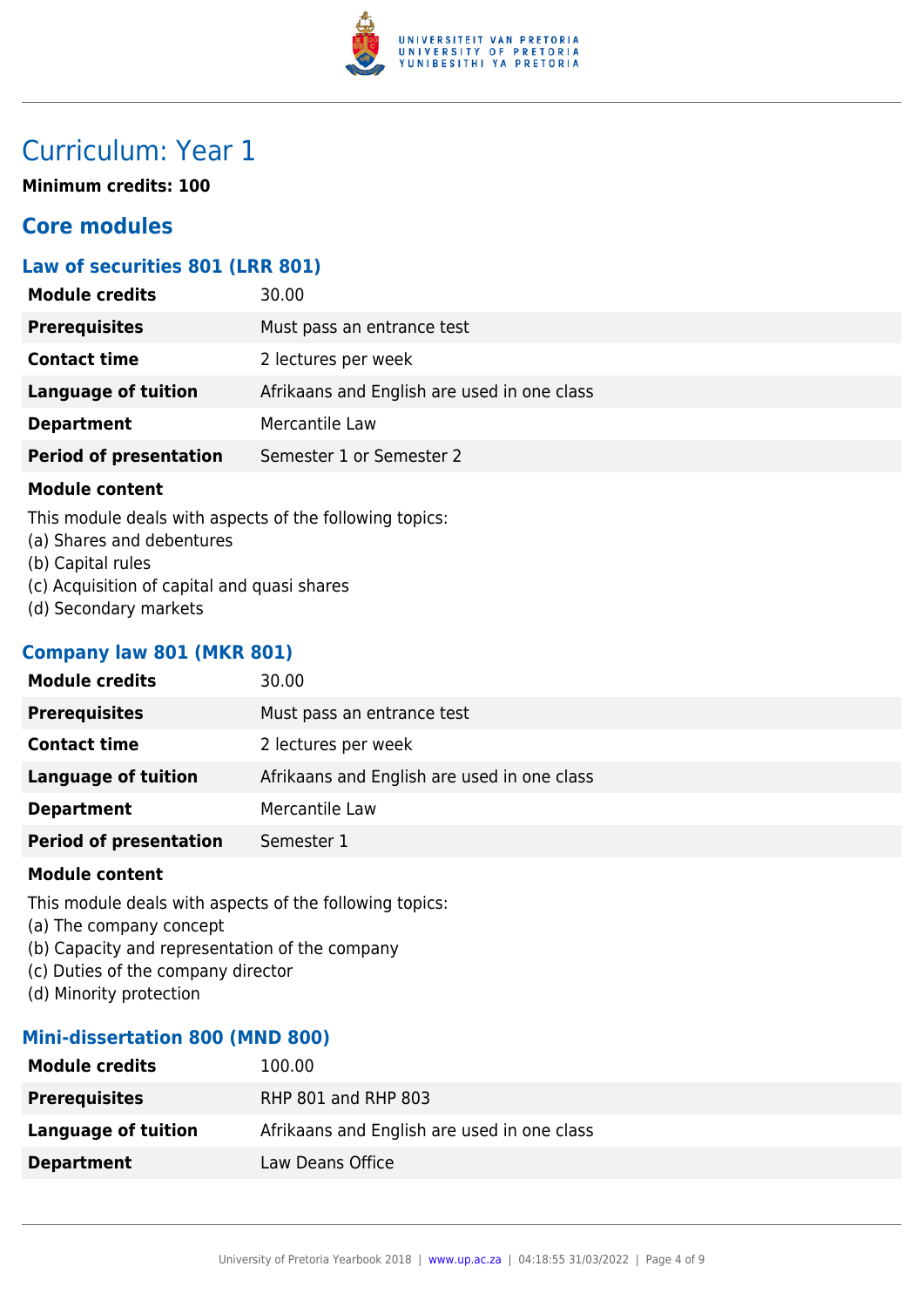

# Curriculum: Year 1

**Minimum credits: 100**

# **Core modules**

# **Law of securities 801 (LRR 801)**

| <b>Module credits</b>         | 30.00                                       |
|-------------------------------|---------------------------------------------|
| <b>Prerequisites</b>          | Must pass an entrance test                  |
| <b>Contact time</b>           | 2 lectures per week                         |
| Language of tuition           | Afrikaans and English are used in one class |
| <b>Department</b>             | Mercantile Law                              |
| <b>Period of presentation</b> | Semester 1 or Semester 2                    |
|                               |                                             |

#### **Module content**

This module deals with aspects of the following topics:

- (a) Shares and debentures
- (b) Capital rules
- (c) Acquisition of capital and quasi shares
- (d) Secondary markets

# **Company law 801 (MKR 801)**

| <b>Module credits</b>         | 30.00                                       |
|-------------------------------|---------------------------------------------|
| <b>Prerequisites</b>          | Must pass an entrance test                  |
| <b>Contact time</b>           | 2 lectures per week                         |
| <b>Language of tuition</b>    | Afrikaans and English are used in one class |
| <b>Department</b>             | Mercantile Law                              |
| <b>Period of presentation</b> | Semester 1                                  |
|                               |                                             |

## **Module content**

This module deals with aspects of the following topics:

- (a) The company concept
- (b) Capacity and representation of the company
- (c) Duties of the company director
- (d) Minority protection

# **Mini-dissertation 800 (MND 800)**

| <b>Module credits</b> | 100.00                                      |
|-----------------------|---------------------------------------------|
| <b>Prerequisites</b>  | RHP 801 and RHP 803                         |
| Language of tuition   | Afrikaans and English are used in one class |
| <b>Department</b>     | Law Deans Office                            |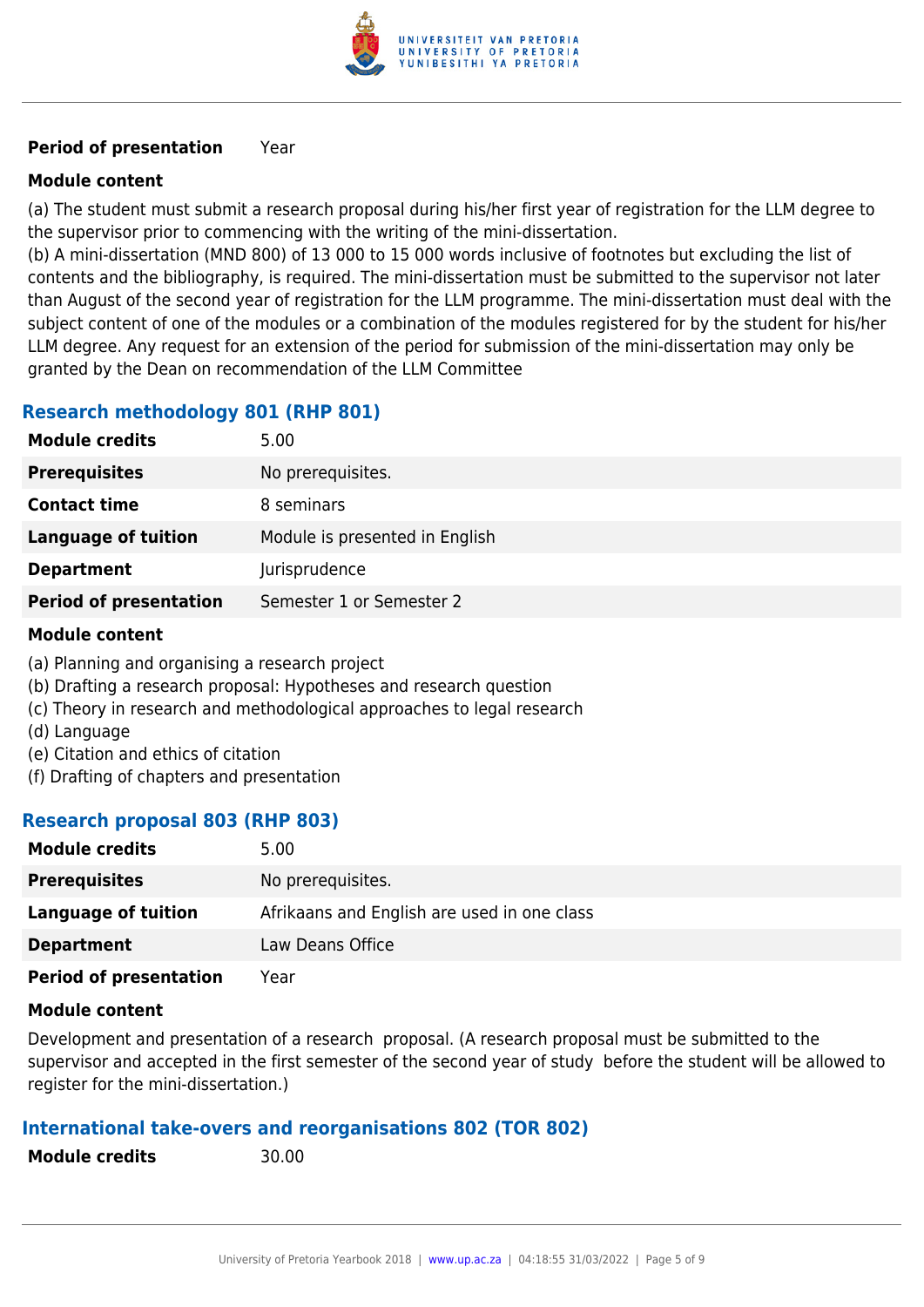

# **Period of presentation** Year

# **Module content**

(a) The student must submit a research proposal during his/her first year of registration for the LLM degree to the supervisor prior to commencing with the writing of the mini-dissertation.

(b) A mini-dissertation (MND 800) of 13 000 to 15 000 words inclusive of footnotes but excluding the list of contents and the bibliography, is required. The mini-dissertation must be submitted to the supervisor not later than August of the second year of registration for the LLM programme. The mini-dissertation must deal with the subject content of one of the modules or a combination of the modules registered for by the student for his/her LLM degree. Any request for an extension of the period for submission of the mini-dissertation may only be granted by the Dean on recommendation of the LLM Committee

# **Research methodology 801 (RHP 801)**

| <b>Module credits</b>         | 5.00                           |
|-------------------------------|--------------------------------|
| <b>Prerequisites</b>          | No prerequisites.              |
| <b>Contact time</b>           | 8 seminars                     |
| Language of tuition           | Module is presented in English |
| <b>Department</b>             | Jurisprudence                  |
| <b>Period of presentation</b> | Semester 1 or Semester 2       |

## **Module content**

- (a) Planning and organising a research project
- (b) Drafting a research proposal: Hypotheses and research question
- (c) Theory in research and methodological approaches to legal research
- (d) Language
- (e) Citation and ethics of citation
- (f) Drafting of chapters and presentation

## **Research proposal 803 (RHP 803)**

| <b>Module credits</b>         | 5.00                                        |
|-------------------------------|---------------------------------------------|
| <b>Prerequisites</b>          | No prerequisites.                           |
| Language of tuition           | Afrikaans and English are used in one class |
| <b>Department</b>             | Law Deans Office                            |
| <b>Period of presentation</b> | Year                                        |

## **Module content**

Development and presentation of a research proposal. (A research proposal must be submitted to the supervisor and accepted in the first semester of the second year of study before the student will be allowed to register for the mini-dissertation.)

## **International take-overs and reorganisations 802 (TOR 802)**

**Module credits** 30.00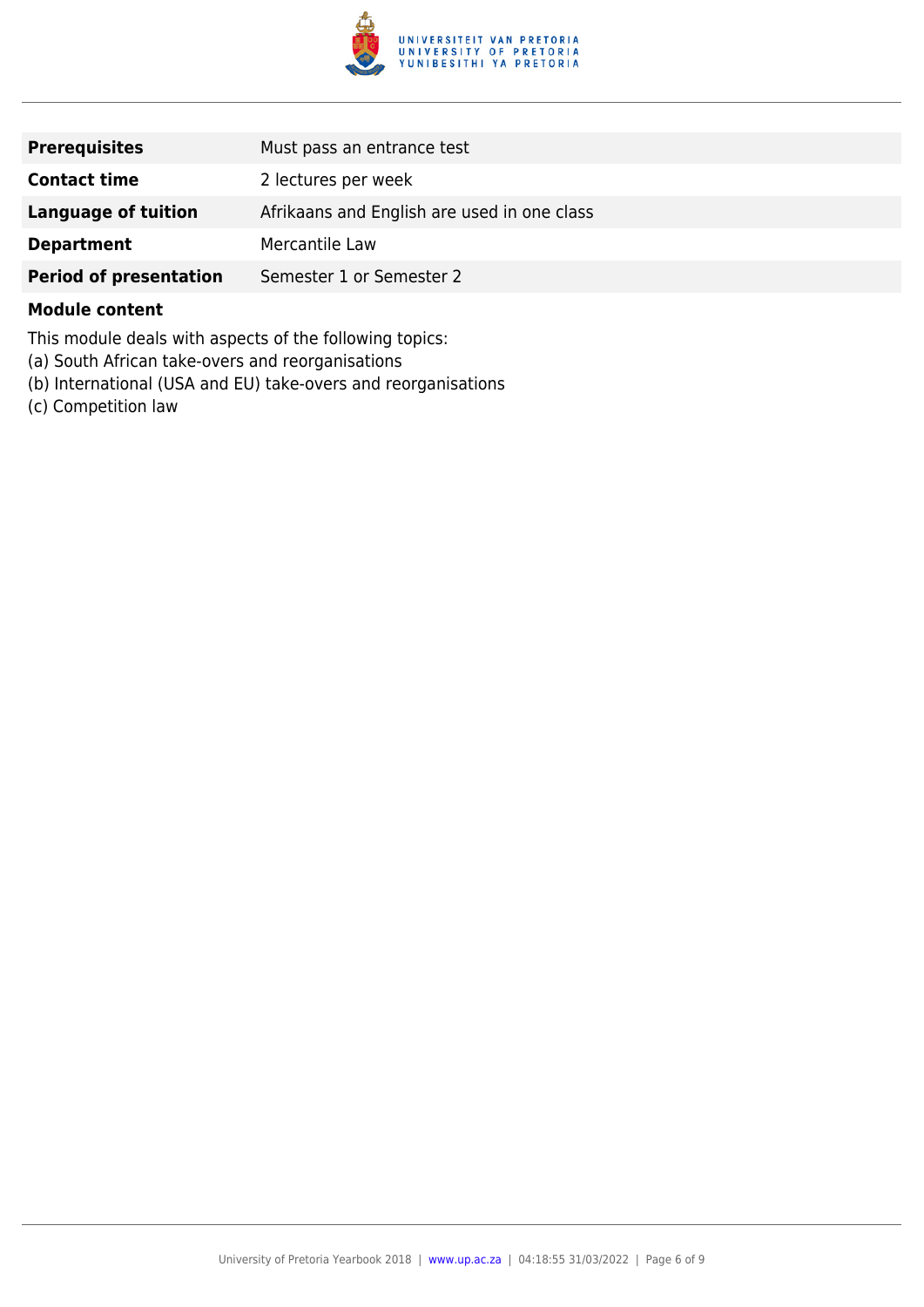

| <b>Prerequisites</b>          | Must pass an entrance test                  |
|-------------------------------|---------------------------------------------|
| <b>Contact time</b>           | 2 lectures per week                         |
| Language of tuition           | Afrikaans and English are used in one class |
| <b>Department</b>             | Mercantile Law                              |
| <b>Period of presentation</b> | Semester 1 or Semester 2                    |

#### **Module content**

This module deals with aspects of the following topics:

- (a) South African take-overs and reorganisations
- (b) International (USA and EU) take-overs and reorganisations
- (c) Competition law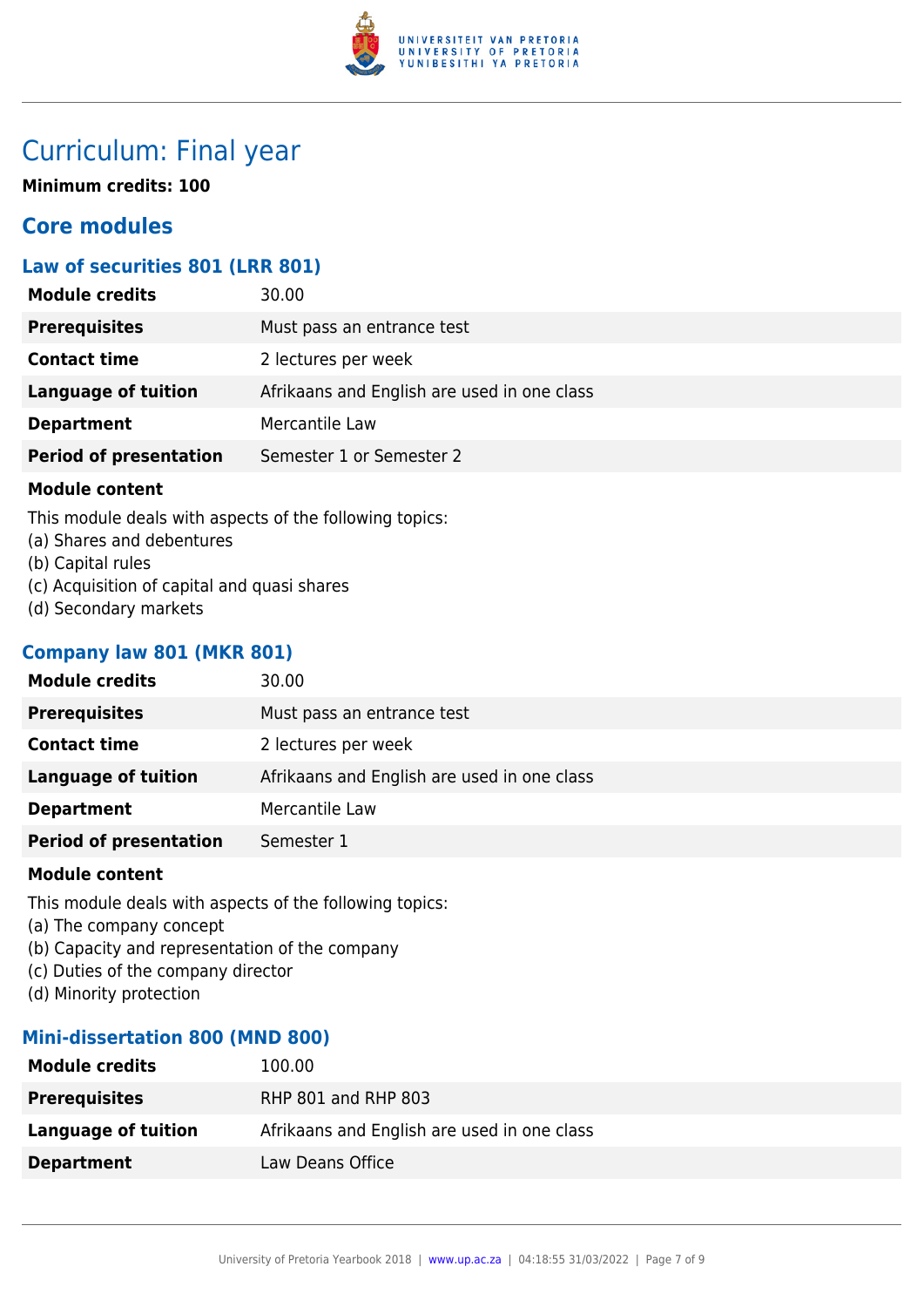

# Curriculum: Final year

**Minimum credits: 100**

# **Core modules**

# **Law of securities 801 (LRR 801)**

| <b>Module credits</b>         | 30.00                                       |
|-------------------------------|---------------------------------------------|
| <b>Prerequisites</b>          | Must pass an entrance test                  |
| <b>Contact time</b>           | 2 lectures per week                         |
| <b>Language of tuition</b>    | Afrikaans and English are used in one class |
| <b>Department</b>             | Mercantile Law                              |
| <b>Period of presentation</b> | Semester 1 or Semester 2                    |
|                               |                                             |

## **Module content**

This module deals with aspects of the following topics:

- (a) Shares and debentures
- (b) Capital rules
- (c) Acquisition of capital and quasi shares
- (d) Secondary markets

# **Company law 801 (MKR 801)**

| <b>Module credits</b>         | 30.00                                       |
|-------------------------------|---------------------------------------------|
| <b>Prerequisites</b>          | Must pass an entrance test                  |
| <b>Contact time</b>           | 2 lectures per week                         |
| <b>Language of tuition</b>    | Afrikaans and English are used in one class |
| <b>Department</b>             | Mercantile Law                              |
| <b>Period of presentation</b> | Semester 1                                  |
|                               |                                             |

## **Module content**

This module deals with aspects of the following topics:

- (a) The company concept
- (b) Capacity and representation of the company
- (c) Duties of the company director
- (d) Minority protection

# **Mini-dissertation 800 (MND 800)**

| <b>Module credits</b> | 100.00                                      |
|-----------------------|---------------------------------------------|
| <b>Prerequisites</b>  | RHP 801 and RHP 803                         |
| Language of tuition   | Afrikaans and English are used in one class |
| <b>Department</b>     | Law Deans Office                            |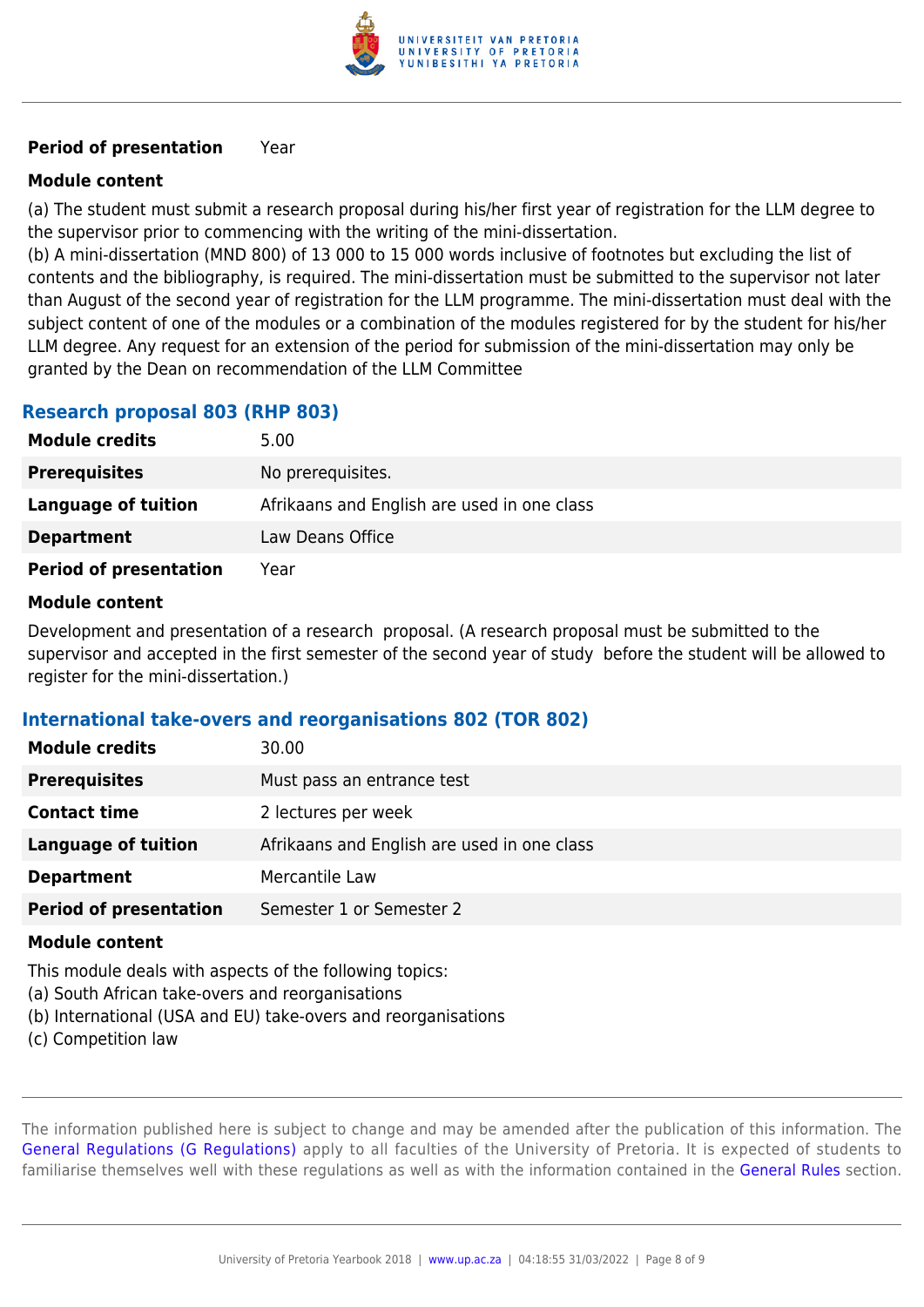

# **Period of presentation** Year

# **Module content**

(a) The student must submit a research proposal during his/her first year of registration for the LLM degree to the supervisor prior to commencing with the writing of the mini-dissertation.

(b) A mini-dissertation (MND 800) of 13 000 to 15 000 words inclusive of footnotes but excluding the list of contents and the bibliography, is required. The mini-dissertation must be submitted to the supervisor not later than August of the second year of registration for the LLM programme. The mini-dissertation must deal with the subject content of one of the modules or a combination of the modules registered for by the student for his/her LLM degree. Any request for an extension of the period for submission of the mini-dissertation may only be granted by the Dean on recommendation of the LLM Committee

# **Research proposal 803 (RHP 803)**

| <b>Module credits</b>         | 5.00                                        |
|-------------------------------|---------------------------------------------|
| <b>Prerequisites</b>          | No prerequisites.                           |
| Language of tuition           | Afrikaans and English are used in one class |
| <b>Department</b>             | Law Deans Office                            |
| <b>Period of presentation</b> | Year                                        |

## **Module content**

Development and presentation of a research proposal. (A research proposal must be submitted to the supervisor and accepted in the first semester of the second year of study before the student will be allowed to register for the mini-dissertation.)

## **International take-overs and reorganisations 802 (TOR 802)**

| <b>Module credits</b>         | 30.00                                       |
|-------------------------------|---------------------------------------------|
| <b>Prerequisites</b>          | Must pass an entrance test                  |
| <b>Contact time</b>           | 2 lectures per week                         |
| <b>Language of tuition</b>    | Afrikaans and English are used in one class |
| <b>Department</b>             | Mercantile Law                              |
| <b>Period of presentation</b> | Semester 1 or Semester 2                    |

## **Module content**

This module deals with aspects of the following topics:

- (a) South African take-overs and reorganisations
- (b) International (USA and EU) take-overs and reorganisations
- (c) Competition law

The information published here is subject to change and may be amended after the publication of this information. The [General Regulations \(G Regulations\)](https://www.up.ac.za/yearbooks/2018/rules/view/REG) apply to all faculties of the University of Pretoria. It is expected of students to familiarise themselves well with these regulations as well as with the information contained in the [General Rules](https://www.up.ac.za/yearbooks/2018/rules/view/RUL) section.